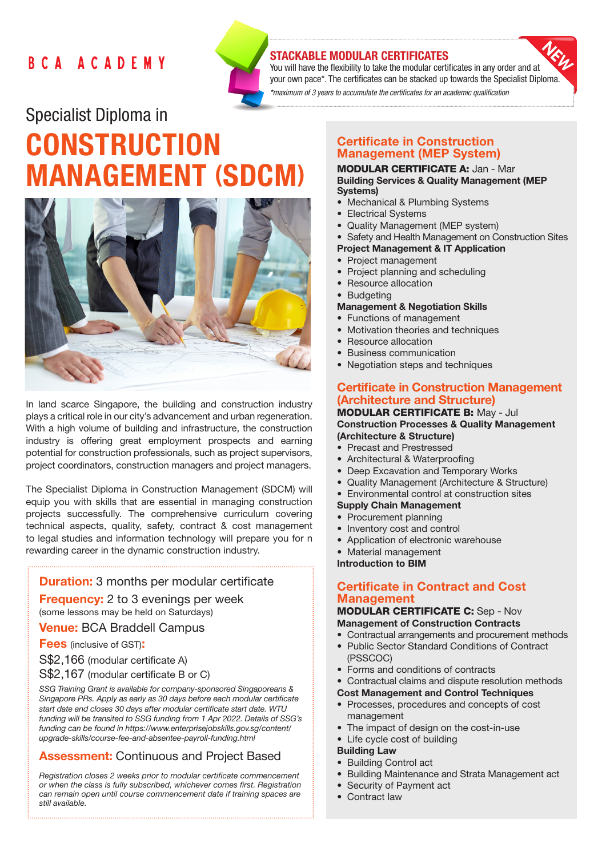## BCA ACADEMY



## STACKABLE MODULAR CERTIFICATES

You will have the flexibility to take the modular certificates in any order and at your own pace\*. The certificates can be stacked up towards the Specialist Diploma. *\*maximum of 3 years to accumulate the certificates for an academic qualification* 

# Specialist Diploma in **CONSTRUCTION** MANAGEMENT (SDCM)



In land scarce Singapore, the building and construction industry plays a critical role in our city's advancement and urban regeneration. With a high volume of building and infrastructure, the construction industry is offering great employment prospects and earning potential for construction professionals, such as project supervisors, project coordinators, construction managers and project managers.

The Specialist Diploma in Construction Management (SDCM) will equip you with skills that are essential in managing construction projects successfully. The comprehensive curriculum covering technical aspects, quality, safety, contract & cost management to legal studies and information technology will prepare you for n rewarding career in the dynamic construction industry.

## **Duration:** 3 months per modular certificate

**Frequency:** 2 to 3 evenings per week (some lessons may be held on Saturdays)

#### Venue: BCA Braddell Campus

**Fees** (inclusive of GST):

S\$2,166 (modular certificate A)

S\$2,167 (modular certificate B or C)

*SSG Training Grant is available for company-sponsored Singaporeans & Singapore PRs. Apply as early as 30 days before each modular certificate start date and closes 30 days after modular certificate start date. WTU funding will be transited to SSG funding from 1 Apr 2022. Details of SSG's funding can be found in https://www.enterprisejobskills.gov.sg/content/ upgrade-skills/course-fee-and-absentee-payroll-funding.html*

## **Assessment: Continuous and Project Based**

*Registration closes 2 weeks prior to modular certificate commencement or when the class is fully subscribed, whichever comes first. Registration can remain open until course commencement date if training spaces are still available.*

## Certificate in Construction Management (MEP System)

#### MODULAR CERTIFICATE A: Jan - Mar Building Services & Quality Management (MEP Systems)

- Mechanical & Plumbing Systems
- Electrical Systems
- Quality Management (MEP system)
- Safety and Health Management on Construction Sites
- Project Management & IT Application
- Project management
- Project planning and scheduling
- Resource allocation
- Budgeting

## Management & Negotiation Skills

- Functions of management
- Motivation theories and techniques
- Resource allocation
- Business communication
- Negotiation steps and techniques

## Certificate in Construction Management (Architecture and Structure)

#### MODULAR CERTIFICATE B: May - Jul Construction Processes & Quality Management (Architecture & Structure)

- Precast and Prestressed
- Architectural & Waterproofing
- Deep Excavation and Temporary Works
- Quality Management (Architecture & Structure)
- Environmental control at construction sites
- Supply Chain Management
- Procurement planning
- Inventory cost and control
- Application of electronic warehouse
- Material management

Introduction to BIM

## Certificate in Contract and Cost **Management**

#### MODULAR CERTIFICATE C: Sep - Nov Management of Construction Contracts

- Contractual arrangements and procurement methods
- Public Sector Standard Conditions of Contract (PSSCOC)
- Forms and conditions of contracts
- Contractual claims and dispute resolution methods
- Cost Management and Control Techniques
- Processes, procedures and concepts of cost management
- The impact of design on the cost-in-use
- Life cycle cost of building

## Building Law

- Building Control act
- Building Maintenance and Strata Management act
- Security of Payment act
- Contract law